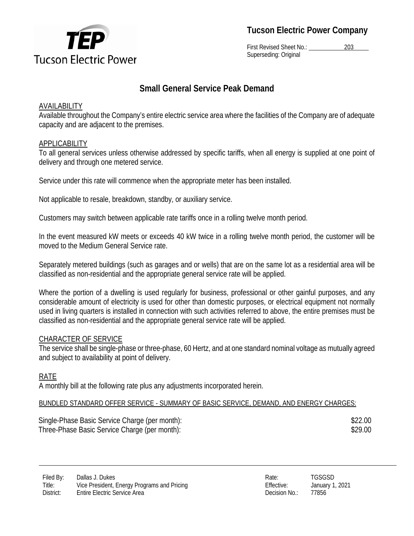

**Tucson Electric Power Company** 

First Revised Sheet No.: 203 Superseding: Original

## **Small General Service Peak Demand**

## AVAILABILITY

Available throughout the Company's entire electric service area where the facilities of the Company are of adequate capacity and are adjacent to the premises.

## APPLICABILITY

To all general services unless otherwise addressed by specific tariffs, when all energy is supplied at one point of delivery and through one metered service.

Service under this rate will commence when the appropriate meter has been installed.

Not applicable to resale, breakdown, standby, or auxiliary service.

Customers may switch between applicable rate tariffs once in a rolling twelve month period.

In the event measured kW meets or exceeds 40 kW twice in a rolling twelve month period, the customer will be moved to the Medium General Service rate.

Separately metered buildings (such as garages and or wells) that are on the same lot as a residential area will be classified as non-residential and the appropriate general service rate will be applied.

Where the portion of a dwelling is used regularly for business, professional or other gainful purposes, and any considerable amount of electricity is used for other than domestic purposes, or electrical equipment not normally used in living quarters is installed in connection with such activities referred to above, the entire premises must be classified as non-residential and the appropriate general service rate will be applied.

## CHARACTER OF SERVICE

The service shall be single-phase or three-phase, 60 Hertz, and at one standard nominal voltage as mutually agreed and subject to availability at point of delivery.

## RATE

A monthly bill at the following rate plus any adjustments incorporated herein.

## BUNDLED STANDARD OFFER SERVICE - SUMMARY OF BASIC SERVICE, DEMAND, AND ENERGY CHARGES:

Single-Phase Basic Service Charge (per month):  $$22.00$ Three-Phase Basic Service Charge (per month):  $$29.00$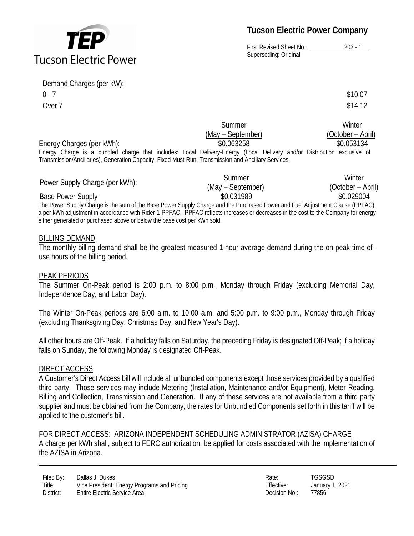# **Tucson Electric Power**

**Tucson Electric Power Company** 

First Revised Sheet No.: 203 - 1 Superseding: Original

Demand Charges (per kW):  $0 - 7$  \$10.07 Over  $7 \times 14.12$ 

| \$10.07 |  |  |
|---------|--|--|
| \$14.12 |  |  |

|                                                                                                                         | Summer            | Winter            |
|-------------------------------------------------------------------------------------------------------------------------|-------------------|-------------------|
|                                                                                                                         | (May – September) | (October – April) |
| Energy Charges (per kWh):                                                                                               | \$0.063258        | \$0.053134        |
| Energy Charge is a bundled charge that includes: Local Delivery-Energy (Local Delivery and/or Distribution exclusive of |                   |                   |
| Transmission/Ancillaries), Generation Capacity, Fixed Must-Run, Transmission and Ancillary Services.                    |                   |                   |

| Power Supply Charge (per kWh):                                                                                                     | Summer            | Winter            |  |  |
|------------------------------------------------------------------------------------------------------------------------------------|-------------------|-------------------|--|--|
|                                                                                                                                    | (May – September) | (October – April) |  |  |
| <b>Base Power Supply</b>                                                                                                           | \$0.031989        | \$0.029004        |  |  |
| The Power Supply Charge is the sum of the Base Power Supply Charge and the Purchased Power and Fuel Adjustment Clause (PPFAC),     |                   |                   |  |  |
| a per kWh adjustment in accordance with Rider-1-PPFAC. PPFAC reflects increases or decreases in the cost to the Company for energy |                   |                   |  |  |
| either generated or purchased above or below the base cost per kWh sold.                                                           |                   |                   |  |  |

#### BILLING DEMAND

The monthly billing demand shall be the greatest measured 1-hour average demand during the on-peak time-ofuse hours of the billing period.

#### PEAK PERIODS

The Summer On-Peak period is 2:00 p.m. to 8:00 p.m., Monday through Friday (excluding Memorial Day, Independence Day, and Labor Day).

The Winter On-Peak periods are 6:00 a.m. to 10:00 a.m. and 5:00 p.m. to 9:00 p.m., Monday through Friday (excluding Thanksgiving Day, Christmas Day, and New Year's Day).

All other hours are Off-Peak. If a holiday falls on Saturday, the preceding Friday is designated Off-Peak; if a holiday falls on Sunday, the following Monday is designated Off-Peak.

#### DIRECT ACCESS

A Customer's Direct Access bill will include all unbundled components except those services provided by a qualified third party. Those services may include Metering (Installation, Maintenance and/or Equipment), Meter Reading, Billing and Collection, Transmission and Generation. If any of these services are not available from a third party supplier and must be obtained from the Company, the rates for Unbundled Components set forth in this tariff will be applied to the customer's bill.

FOR DIRECT ACCESS: ARIZONA INDEPENDENT SCHEDULING ADMINISTRATOR (AZISA) CHARGE A charge per kWh shall, subject to FERC authorization, be applied for costs associated with the implementation of the AZISA in Arizona.

Filed By: Dallas J. Dukes Rate: TGSGSD Rate: TGSGSD Rate: TGSGSD Rate: TGSGSD Rate: TGSGSD Rate: TGSGSD Rate: TGSGSD Rate: TGSGSD Rate: Rate: TGSGSD Rate: Rate: Rate: Rate: Rate: Rate: Rate: Rate: Rate: Rate: Rate: Rate: R Title: Vice President, Energy Programs and Pricing Elective: Effective: January 1, 2021 District: Entire Electric Service Area **Decision No.: 27856 Decision No.: 27856**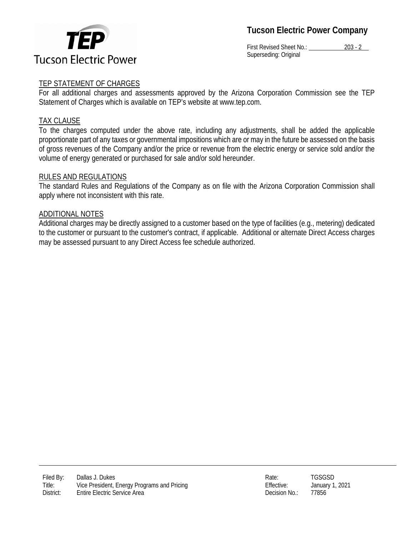

**Tucson Electric Power Company** 

First Revised Sheet No.: 203 - 2 Superseding: Original

## TEP STATEMENT OF CHARGES

For all additional charges and assessments approved by the Arizona Corporation Commission see the TEP Statement of Charges which is available on TEP's website at www.tep.com.

### TAX CLAUSE

To the charges computed under the above rate, including any adjustments, shall be added the applicable proportionate part of any taxes or governmental impositions which are or may in the future be assessed on the basis of gross revenues of the Company and/or the price or revenue from the electric energy or service sold and/or the volume of energy generated or purchased for sale and/or sold hereunder.

#### RULES AND REGULATIONS

The standard Rules and Regulations of the Company as on file with the Arizona Corporation Commission shall apply where not inconsistent with this rate.

#### ADDITIONAL NOTES

Additional charges may be directly assigned to a customer based on the type of facilities (e.g., metering) dedicated to the customer or pursuant to the customer's contract, if applicable. Additional or alternate Direct Access charges may be assessed pursuant to any Direct Access fee schedule authorized.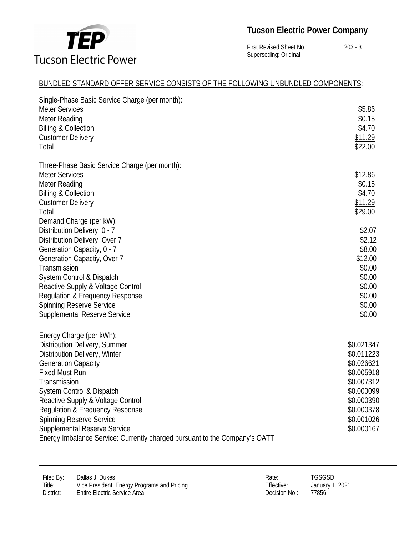

# **Tucson Electric Power Company**

First Revised Sheet No.: 203 - 3 Superseding: Original

## BUNDLED STANDARD OFFER SERVICE CONSISTS OF THE FOLLOWING UNBUNDLED COMPONENTS:

| Single-Phase Basic Service Charge (per month):                             |                    |
|----------------------------------------------------------------------------|--------------------|
| <b>Meter Services</b>                                                      | \$5.86             |
| Meter Reading                                                              | \$0.15             |
| <b>Billing &amp; Collection</b>                                            | \$4.70             |
|                                                                            |                    |
| <b>Customer Delivery</b><br>Total                                          | \$11.29<br>\$22.00 |
|                                                                            |                    |
| Three-Phase Basic Service Charge (per month):                              |                    |
| <b>Meter Services</b>                                                      | \$12.86            |
| Meter Reading                                                              | \$0.15             |
| <b>Billing &amp; Collection</b>                                            | \$4.70             |
| <b>Customer Delivery</b>                                                   | \$11.29            |
| Total                                                                      | \$29.00            |
| Demand Charge (per kW):                                                    |                    |
| Distribution Delivery, 0 - 7                                               | \$2.07             |
| Distribution Delivery, Over 7                                              | \$2.12             |
| Generation Capacity, 0 - 7                                                 | \$8.00             |
| Generation Capactiy, Over 7                                                | \$12.00            |
| Transmission                                                               | \$0.00             |
| System Control & Dispatch                                                  | \$0.00             |
| Reactive Supply & Voltage Control                                          | \$0.00             |
| <b>Regulation &amp; Frequency Response</b>                                 | \$0.00             |
| <b>Spinning Reserve Service</b>                                            | \$0.00             |
| Supplemental Reserve Service                                               | \$0.00             |
| Energy Charge (per kWh):                                                   |                    |
| Distribution Delivery, Summer                                              | \$0.021347         |
| Distribution Delivery, Winter                                              | \$0.011223         |
| <b>Generation Capacity</b>                                                 | \$0.026621         |
| <b>Fixed Must-Run</b>                                                      | \$0.005918         |
| Transmission                                                               | \$0.007312         |
| System Control & Dispatch                                                  | \$0.000099         |
| Reactive Supply & Voltage Control                                          | \$0.000390         |
| Regulation & Frequency Response                                            | \$0.000378         |
| <b>Spinning Reserve Service</b>                                            | \$0.001026         |
| <b>Supplemental Reserve Service</b>                                        | \$0.000167         |
| Energy Imbalance Service: Currently charged pursuant to the Company's OATT |                    |